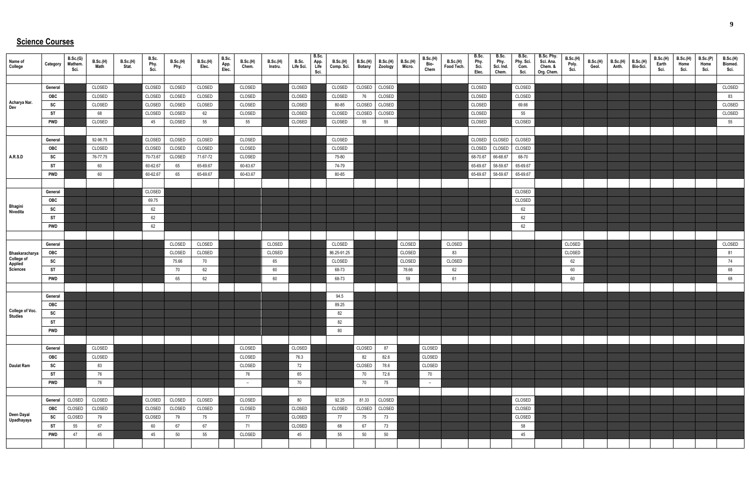## **Science Courses**

| Name of<br>College                         | Category       | B.Sc.(G)<br>Mathem.<br>Sci. | B.Sc.(H)<br>Math | <b>B.Sc.(H)</b><br>Stat. | B.Sc.<br>Phy.<br>Sci. | <b>B.Sc.(H)</b><br>Phy. | <b>B.Sc.(H)</b><br>Elec. | B.Sc.<br>App.<br>Elec. | B.Sc.(H)<br>Chem. | B.Sc.(H)<br>Instru. | B.Sc.<br>Life Sci. | B.Sc.<br>App.<br>Life<br>Sci. | <b>B.Sc.(H)</b><br>Comp. Sci. | <b>B.Sc.(H)</b><br><b>Botany</b> | B.Sc.(H)<br>Zoology | <b>B.Sc.(H)</b><br>Micro. | B.Sc.(H)<br>Bio-<br>Chem | B.Sc.(H)<br>Food Tech. | B.Sc.<br>Phy.<br>Sci.<br>Elec. | B.Sc.<br>Phy.<br>Sci. Ind.<br>Chem. | B.Sc.<br>Phy. Sci.<br>Com.<br>Sci. | B.Sc. Phy.<br>Sci. Ana.<br>Chem. &<br>Org. Chem. | B.Sc.(H)<br>Poly.<br>Sci. | <b>B.Sc.(H)</b><br>Geol. | B.Sc.(H)<br>Anth. | <b>B.Sc.(H)</b><br>Bio-Sci. | <b>B.Sc.(H)</b><br>Earth<br>Sci. | <b>B.Sc.(H)</b><br>Home<br>Sci. | B.Sc.(P)<br>Home<br>Sci. | B.Sc.(H)<br>Biomed.<br>Sci. |
|--------------------------------------------|----------------|-----------------------------|------------------|--------------------------|-----------------------|-------------------------|--------------------------|------------------------|-------------------|---------------------|--------------------|-------------------------------|-------------------------------|----------------------------------|---------------------|---------------------------|--------------------------|------------------------|--------------------------------|-------------------------------------|------------------------------------|--------------------------------------------------|---------------------------|--------------------------|-------------------|-----------------------------|----------------------------------|---------------------------------|--------------------------|-----------------------------|
|                                            |                |                             |                  |                          |                       |                         |                          |                        |                   |                     |                    |                               |                               |                                  |                     |                           |                          |                        |                                |                                     |                                    |                                                  |                           |                          |                   |                             |                                  |                                 |                          |                             |
|                                            | General        |                             | CLOSED           |                          | CLOSED                | CLOSED                  | CLOSED                   |                        | CLOSED            |                     | CLOSED             |                               | CLOSED                        | CLOSED                           | CLOSED              |                           |                          |                        | CLOSED                         |                                     | CLOSED                             |                                                  |                           |                          |                   |                             |                                  |                                 |                          | CLOSED                      |
| Acharya Nar.                               | OBC            |                             | CLOSED           |                          | CLOSED                | CLOSED                  | CLOSED                   |                        | CLOSED            |                     | CLOSED             |                               | CLOSED                        | 76                               | CLOSED              |                           |                          |                        | CLOSED                         |                                     | CLOSED                             |                                                  |                           |                          |                   |                             |                                  |                                 |                          | 83                          |
| Dev                                        | SC             |                             | CLOSED           |                          | CLOSED                | CLOSED                  | CLOSED                   |                        | CLOSED            |                     | CLOSED             |                               | 80-85                         | CLOSED                           | CLOSED              |                           |                          |                        | CLOSED                         |                                     | 69.66                              |                                                  |                           |                          |                   |                             |                                  |                                 |                          | CLOSED                      |
|                                            | <b>ST</b>      |                             | 68               |                          | CLOSED                | CLOSED                  | 62                       |                        | CLOSED            |                     | CLOSED             |                               | CLOSED                        | CLOSED                           | CLOSED              |                           |                          |                        | CLOSED                         |                                     | 55                                 |                                                  |                           |                          |                   |                             |                                  |                                 |                          | CLOSED                      |
|                                            | <b>PWD</b>     |                             | CLOSED           |                          | 45                    | CLOSED                  | 55                       |                        | 55                |                     | CLOSED             |                               | CLOSED                        | 55                               | 55                  |                           |                          |                        | CLOSED                         |                                     | CLOSED                             |                                                  |                           |                          |                   |                             |                                  |                                 |                          | 55                          |
|                                            |                |                             |                  |                          |                       |                         |                          |                        |                   |                     |                    |                               |                               |                                  |                     |                           |                          |                        |                                |                                     |                                    |                                                  |                           |                          |                   |                             |                                  |                                 |                          |                             |
|                                            | General        |                             | 92-96.75         |                          | CLOSED                | CLOSED                  | CLOSED                   |                        | CLOSED            |                     |                    |                               | CLOSED                        |                                  |                     |                           |                          |                        | CLOSED                         | CLOSED                              | CLOSED                             |                                                  |                           |                          |                   |                             |                                  |                                 |                          |                             |
|                                            | OBC            |                             | CLOSED           |                          | CLOSED                | CLOSED                  | CLOSED                   |                        | CLOSED            |                     |                    |                               | CLOSED                        |                                  |                     |                           |                          |                        | CLOSED                         | CLOSED                              | CLOSED                             |                                                  |                           |                          |                   |                             |                                  |                                 |                          |                             |
| <b>A.R.S.D</b>                             | SC             |                             | 76-77.75         |                          | 70-73.67              | CLOSED                  | 71.67-72                 |                        | CLOSED            |                     |                    |                               | 75-80                         |                                  |                     |                           |                          |                        | 68-70.67                       | 66-68.67                            | 68-70                              |                                                  |                           |                          |                   |                             |                                  |                                 |                          |                             |
|                                            | <b>ST</b>      |                             | 60               |                          | 60-62.67              | 65                      | 65-69.67                 |                        | 60-63.67          |                     |                    |                               | 74-79                         |                                  |                     |                           |                          |                        | 65-69.67                       | 58-59.67                            | 65-69.67                           |                                                  |                           |                          |                   |                             |                                  |                                 |                          |                             |
|                                            | <b>PWD</b>     |                             | 60               |                          | 60-62.67              | 65                      | 65-69.67                 |                        | 60-63.67          |                     |                    |                               | 80-85                         |                                  |                     |                           |                          |                        | 65-69.67                       | 58-59.67                            | 65-69.67                           |                                                  |                           |                          |                   |                             |                                  |                                 |                          |                             |
|                                            |                |                             |                  |                          |                       |                         |                          |                        |                   |                     |                    |                               |                               |                                  |                     |                           |                          |                        |                                |                                     |                                    |                                                  |                           |                          |                   |                             |                                  |                                 |                          |                             |
|                                            | General        |                             |                  |                          | CLOSED                |                         |                          |                        |                   |                     |                    |                               |                               |                                  |                     |                           |                          |                        |                                |                                     | CLOSED                             |                                                  |                           |                          |                   |                             |                                  |                                 |                          |                             |
|                                            | OBC            |                             |                  |                          | 69.75                 |                         |                          |                        |                   |                     |                    |                               |                               |                                  |                     |                           |                          |                        |                                |                                     | CLOSED                             |                                                  |                           |                          |                   |                             |                                  |                                 |                          |                             |
| Bhagini<br>Nivedita                        | SC             |                             |                  |                          | 62                    |                         |                          |                        |                   |                     |                    |                               |                               |                                  |                     |                           |                          |                        |                                |                                     | 62                                 |                                                  |                           |                          |                   |                             |                                  |                                 |                          |                             |
|                                            | <b>ST</b>      |                             |                  |                          | 62                    |                         |                          |                        |                   |                     |                    |                               |                               |                                  |                     |                           |                          |                        |                                |                                     | 62                                 |                                                  |                           |                          |                   |                             |                                  |                                 |                          |                             |
|                                            | <b>PWD</b>     |                             |                  |                          | 62                    |                         |                          |                        |                   |                     |                    |                               |                               |                                  |                     |                           |                          |                        |                                |                                     | 62                                 |                                                  |                           |                          |                   |                             |                                  |                                 |                          |                             |
|                                            |                |                             |                  |                          |                       |                         |                          |                        |                   |                     |                    |                               |                               |                                  |                     |                           |                          |                        |                                |                                     |                                    |                                                  |                           |                          |                   |                             |                                  |                                 |                          |                             |
|                                            | General        |                             |                  |                          |                       | CLOSED                  | CLOSED                   |                        |                   | CLOSED              |                    |                               | CLOSED                        |                                  |                     | CLOSED                    |                          | CLOSED                 |                                |                                     |                                    |                                                  | CLOSED                    |                          |                   |                             |                                  |                                 |                          | CLOSED                      |
| Bhaskaracharya                             | OBC            |                             |                  |                          |                       | CLOSED                  | CLOSED                   |                        |                   | CLOSED              |                    |                               | 86.25-91.25                   |                                  |                     | CLOSED                    |                          | 83                     |                                |                                     |                                    |                                                  | CLOSED                    |                          |                   |                             |                                  |                                 |                          | 81                          |
| <b>College of<br/>Applied<br/>Sciences</b> | SC             |                             |                  |                          |                       | 75.66                   | 70                       |                        |                   | 65                  |                    |                               | CLOSED                        |                                  |                     | CLOSED                    |                          | CLOSED                 |                                |                                     |                                    |                                                  | 62                        |                          |                   |                             |                                  |                                 |                          | 74                          |
|                                            | <b>ST</b>      |                             |                  |                          |                       | 70                      | 62                       |                        |                   | 60                  |                    |                               | 68-73                         |                                  |                     | 78.66                     |                          | 62                     |                                |                                     |                                    |                                                  | 60                        |                          |                   |                             |                                  |                                 |                          | 68                          |
|                                            | <b>PWD</b>     |                             |                  |                          |                       | 65                      | 62                       |                        |                   | 60                  |                    |                               | 68-73                         |                                  |                     | 59                        |                          | 61                     |                                |                                     |                                    |                                                  | 60                        |                          |                   |                             |                                  |                                 |                          | 68                          |
|                                            |                |                             |                  |                          |                       |                         |                          |                        |                   |                     |                    |                               |                               |                                  |                     |                           |                          |                        |                                |                                     |                                    |                                                  |                           |                          |                   |                             |                                  |                                 |                          |                             |
|                                            | General        |                             |                  |                          |                       |                         |                          |                        |                   |                     |                    |                               | 94.5                          |                                  |                     |                           |                          |                        |                                |                                     |                                    |                                                  |                           |                          |                   |                             |                                  |                                 |                          |                             |
| College of Voc.                            | OBC            |                             |                  |                          |                       |                         |                          |                        |                   |                     |                    |                               | 89.25                         |                                  |                     |                           |                          |                        |                                |                                     |                                    |                                                  |                           |                          |                   |                             |                                  |                                 |                          |                             |
| Studies                                    | <b>SC</b>      |                             |                  |                          |                       |                         |                          |                        |                   |                     |                    |                               | 82                            |                                  |                     |                           |                          |                        |                                |                                     |                                    |                                                  |                           |                          |                   |                             |                                  |                                 |                          |                             |
|                                            | <b>ST</b>      |                             |                  |                          |                       |                         |                          |                        |                   |                     |                    |                               | 82                            |                                  |                     |                           |                          |                        |                                |                                     |                                    |                                                  |                           |                          |                   |                             |                                  |                                 |                          |                             |
|                                            | <b>PWD</b>     |                             |                  |                          |                       |                         |                          |                        |                   |                     |                    |                               | 80                            |                                  |                     |                           |                          |                        |                                |                                     |                                    |                                                  |                           |                          |                   |                             |                                  |                                 |                          |                             |
|                                            |                |                             |                  |                          |                       |                         |                          |                        |                   |                     |                    |                               |                               |                                  |                     |                           |                          |                        |                                |                                     |                                    |                                                  |                           |                          |                   |                             |                                  |                                 |                          |                             |
|                                            | General        |                             | CLOSED           |                          |                       |                         |                          |                        | CLOSED            |                     | CLOSED             |                               |                               | CLOSED                           | 87                  |                           | CLOSED                   |                        |                                |                                     |                                    |                                                  |                           |                          |                   |                             |                                  |                                 |                          |                             |
|                                            | OBC            |                             | CLOSED           |                          |                       |                         |                          |                        | CLOSED            |                     | 76.3               |                               |                               | 82                               | 82.6                |                           | CLOSED                   |                        |                                |                                     |                                    |                                                  |                           |                          |                   |                             |                                  |                                 |                          |                             |
| Daulat Ram                                 | SC             |                             | 83               |                          |                       |                         |                          |                        | CLOSED            |                     | 72                 |                               |                               | CLOSED                           | 78.6                |                           | CLOSED                   |                        |                                |                                     |                                    |                                                  |                           |                          |                   |                             |                                  |                                 |                          |                             |
|                                            | <b>ST</b>      |                             | 76               |                          |                       |                         |                          |                        | 76                |                     | 65                 |                               |                               | 70                               | 72.6                |                           | 70                       |                        |                                |                                     |                                    |                                                  |                           |                          |                   |                             |                                  |                                 |                          |                             |
|                                            | <b>PWD</b>     |                             | 76               |                          |                       |                         |                          |                        | $-$               |                     | $70\,$             |                               |                               | 70                               | 75                  |                           | $-$                      |                        |                                |                                     |                                    |                                                  |                           |                          |                   |                             |                                  |                                 |                          |                             |
|                                            |                | CLOSED                      | CLOSED           |                          | CLOSED                | CLOSED                  | CLOSED                   |                        | CLOSED            |                     | 80                 |                               | 92.25                         | 81.33                            | CLOSED              |                           |                          |                        |                                |                                     | CLOSED                             |                                                  |                           |                          |                   |                             |                                  |                                 |                          |                             |
|                                            | General<br>OBC | CLOSED                      | CLOSED           |                          | CLOSED                | CLOSED                  | CLOSED                   |                        | CLOSED            |                     | CLOSED             |                               | CLOSED                        | CLOSED                           | CLOSED              |                           |                          |                        |                                |                                     | CLOSED                             |                                                  |                           |                          |                   |                             |                                  |                                 |                          |                             |
| Deen Dayal<br>Upadhayaya                   | SC             | CLOSED                      | 79               |                          | CLOSED                | 79                      | 75                       |                        | 77                |                     | CLOSED             |                               | 77                            | 75                               | 73                  |                           |                          |                        |                                |                                     | CLOSED                             |                                                  |                           |                          |                   |                             |                                  |                                 |                          |                             |
|                                            | <b>ST</b>      | 55                          | 67               |                          | 60                    | 67                      | 67                       |                        | 71                |                     | CLOSED             |                               | 68                            | 67                               | 73                  |                           |                          |                        |                                |                                     | 58                                 |                                                  |                           |                          |                   |                             |                                  |                                 |                          |                             |
|                                            | <b>PWD</b>     | 47                          | 45               |                          | 45                    | 50                      | 55                       |                        | CLOSED            |                     | 45                 |                               | 55                            | 50                               | 50                  |                           |                          |                        |                                |                                     | 45                                 |                                                  |                           |                          |                   |                             |                                  |                                 |                          |                             |
|                                            |                |                             |                  |                          |                       |                         |                          |                        |                   |                     |                    |                               |                               |                                  |                     |                           |                          |                        |                                |                                     |                                    |                                                  |                           |                          |                   |                             |                                  |                                 |                          |                             |
|                                            |                |                             |                  |                          |                       |                         |                          |                        |                   |                     |                    |                               |                               |                                  |                     |                           |                          |                        |                                |                                     |                                    |                                                  |                           |                          |                   |                             |                                  |                                 |                          |                             |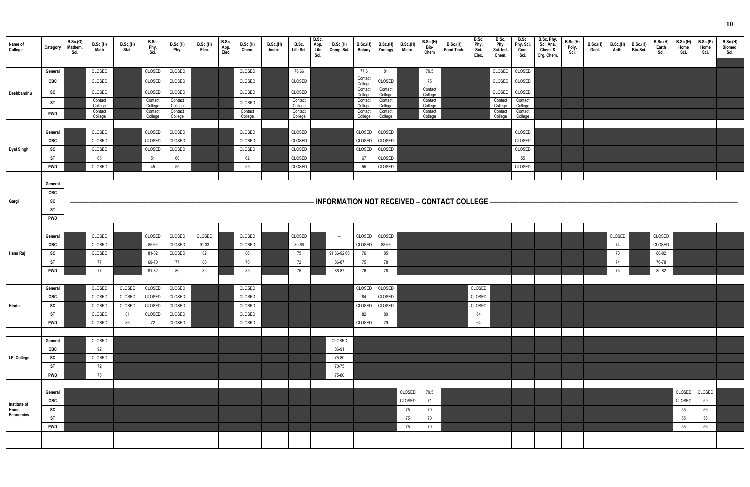| Name of<br>College   | Category                | B.Sc.(G)<br>Mathem.<br>Sci. | B.Sc.(H)<br>Math   | B.Sc.(H)<br>Stat. | B.Sc.<br>Phy.<br>Sci. | <b>B.Sc.(H)</b><br>Phy. | <b>B.Sc.(H)</b><br>Elec. | B.Sc.<br>App.<br>Elec. | B.Sc.(H)<br>Chem.  | B.Sc.(H)<br>Instru. | B.Sc.<br>Life Sci. | B.Sc.<br>App.<br>Life<br>Sci. | <b>B.Sc.(H)</b><br>Comp. Sci. | <b>B.Sc.(H)</b><br><b>Botany</b> | <b>B.Sc.(H)</b><br>Zoology | <b>B.Sc.(H)</b><br>Micro. | B.Sc.(H)<br>Bio-<br>Chem | <b>B.Sc.(H)</b><br>Food Tech.                | B.Sc.<br>Phy.<br>Sci.<br>Elec. | B.Sc.<br>Phy.<br>Sci. Ind.<br>Chem. | B.Sc.<br>Phy. Sci.<br>Com.<br>Sci. | B.Sc. Phy.<br>Sci. Ana.<br>Chem. &<br>Org. Chem. | B.Sc.(H)<br>Poly.<br>Sci. | <b>B.Sc.(H)</b><br>Geol. | B.Sc.(H)<br>Anth. | <b>B.Sc.(H)</b><br>Bio-Sci. | B.Sc.(H)<br>Earth<br>Sci. | <b>B.Sc.(H)</b><br>Home<br>Sci. | B.Sc.(P)<br>Home<br>Sci. | <b>B.Sc.(H)</b><br>Biomed.<br>Sci. |
|----------------------|-------------------------|-----------------------------|--------------------|-------------------|-----------------------|-------------------------|--------------------------|------------------------|--------------------|---------------------|--------------------|-------------------------------|-------------------------------|----------------------------------|----------------------------|---------------------------|--------------------------|----------------------------------------------|--------------------------------|-------------------------------------|------------------------------------|--------------------------------------------------|---------------------------|--------------------------|-------------------|-----------------------------|---------------------------|---------------------------------|--------------------------|------------------------------------|
|                      |                         |                             |                    |                   |                       |                         |                          |                        |                    |                     |                    |                               |                               |                                  |                            |                           |                          |                                              |                                |                                     |                                    |                                                  |                           |                          |                   |                             |                           |                                 |                          |                                    |
|                      | General                 |                             | CLOSED             |                   | CLOSED                | CLOSED                  |                          |                        | CLOSED             |                     | 76.66              |                               |                               | 77.6<br>Contact                  | 81                         |                           | 79.5                     |                                              |                                | CLOSED                              | CLOSED                             |                                                  |                           |                          |                   |                             |                           |                                 |                          |                                    |
|                      | OBC                     |                             | CLOSED             |                   | CLOSED                | CLOSED                  |                          |                        | CLOSED             |                     | CLOSED             |                               |                               | College<br>Contact               | CLOSED<br>Contact          |                           | 75<br>Contact            |                                              |                                | CLOSED                              | CLOSED                             |                                                  |                           |                          |                   |                             |                           |                                 |                          |                                    |
| Deshbandhu           | SC                      |                             | CLOSED<br>Contact  |                   | CLOSED<br>Contact     | CLOSED<br>Contact       |                          |                        | CLOSED             |                     | CLOSED<br>Contact  |                               |                               | College<br>Contact               | College<br>Contact         |                           | College<br>Contact       |                                              |                                | CLOSED<br>Contact                   | CLOSED<br>Contact                  |                                                  |                           |                          |                   |                             |                           |                                 |                          |                                    |
|                      | ST                      |                             | College            |                   | College               | College                 |                          |                        | CLOSED             |                     | College            |                               |                               | College                          | College                    |                           | College                  |                                              |                                | College                             | College                            |                                                  |                           |                          |                   |                             |                           |                                 |                          |                                    |
|                      | <b>PWD</b>              |                             | Contact<br>College |                   | Contact<br>College    | Contact<br>College      |                          |                        | Contact<br>College |                     | Contact<br>College |                               |                               | Contact<br>College               | Contact<br>College         |                           | Contact<br>College       |                                              |                                | Contact<br>College                  | Contact<br>College                 |                                                  |                           |                          |                   |                             |                           |                                 |                          |                                    |
|                      |                         |                             |                    |                   |                       |                         |                          |                        |                    |                     |                    |                               |                               |                                  |                            |                           |                          |                                              |                                |                                     |                                    |                                                  |                           |                          |                   |                             |                           |                                 |                          |                                    |
|                      | General<br>OBC          |                             | CLOSED<br>CLOSED   |                   | CLOSED<br>CLOSED      | CLOSED<br>CLOSED        |                          |                        | CLOSED<br>CLOSED   |                     | CLOSED<br>CLOSED   |                               |                               | CLOSED<br>CLOSED                 | CLOSED<br>CLOSED           |                           |                          |                                              |                                |                                     | CLOSED<br>CLOSED                   |                                                  |                           |                          |                   |                             |                           |                                 |                          |                                    |
| <b>Dyal Singh</b>    | SC                      |                             | CLOSED             |                   | CLOSED                | CLOSED                  |                          |                        | CLOSED             |                     | CLOSED             |                               |                               | CLOSED                           | CLOSED                     |                           |                          |                                              |                                |                                     | CLOSED                             |                                                  |                           |                          |                   |                             |                           |                                 |                          |                                    |
|                      | ST                      |                             | 65                 |                   | 51                    | 60                      |                          |                        | 62                 |                     | CLOSED             |                               |                               | 67                               | CLOSED                     |                           |                          |                                              |                                |                                     | 55                                 |                                                  |                           |                          |                   |                             |                           |                                 |                          |                                    |
|                      | <b>PWD</b>              |                             | CLOSED             |                   | 45                    | 55                      |                          |                        | 55                 |                     | CLOSED             |                               |                               | 55                               | CLOSED                     |                           |                          |                                              |                                |                                     | CLOSED                             |                                                  |                           |                          |                   |                             |                           |                                 |                          |                                    |
|                      |                         |                             |                    |                   |                       |                         |                          |                        |                    |                     |                    |                               |                               |                                  |                            |                           |                          |                                              |                                |                                     |                                    |                                                  |                           |                          |                   |                             |                           |                                 |                          |                                    |
|                      | General                 |                             |                    |                   |                       |                         |                          |                        |                    |                     |                    |                               |                               |                                  |                            |                           |                          |                                              |                                |                                     |                                    |                                                  |                           |                          |                   |                             |                           |                                 |                          |                                    |
|                      | OBC                     |                             |                    |                   |                       |                         |                          |                        |                    |                     |                    |                               |                               |                                  |                            |                           |                          |                                              |                                |                                     |                                    |                                                  |                           |                          |                   |                             |                           |                                 |                          |                                    |
| Gargi                | SC<br><b>ST</b>         |                             |                    |                   |                       |                         |                          |                        |                    |                     |                    |                               |                               |                                  |                            |                           |                          | INFORMATION NOT RECEIVED - CONTACT COLLEGE - |                                |                                     |                                    |                                                  |                           |                          |                   |                             |                           |                                 |                          |                                    |
|                      | <b>PWD</b>              |                             |                    |                   |                       |                         |                          |                        |                    |                     |                    |                               |                               |                                  |                            |                           |                          |                                              |                                |                                     |                                    |                                                  |                           |                          |                   |                             |                           |                                 |                          |                                    |
|                      |                         |                             |                    |                   |                       |                         |                          |                        |                    |                     |                    |                               |                               |                                  |                            |                           |                          |                                              |                                |                                     |                                    |                                                  |                           |                          |                   |                             |                           |                                 |                          |                                    |
|                      | General                 |                             | CLOSED             |                   | CLOSED                | CLOSED                  | CLOSED                   |                        | CLOSED             |                     | CLOSED             |                               | $\overline{\phantom{0}}$      | CLOSED                           | CLOSED                     |                           |                          |                                              |                                |                                     |                                    |                                                  |                           |                          | CLOSED            |                             | CLOSED                    |                                 |                          |                                    |
|                      | OBC                     |                             | CLOSED             |                   | 85.66                 | CLOSED                  | 91.33                    |                        | CLOSED             |                     | 80.66              |                               |                               | CLOSED                           | 88.66                      |                           |                          |                                              |                                |                                     |                                    |                                                  |                           |                          | 74                |                             | CLOSED                    |                                 |                          |                                    |
| <b>Hans Raj</b>      | SC                      |                             | CLOSED             |                   | 81-82                 | CLOSED                  | 82                       |                        | 86                 |                     | 75                 |                               | 91.66-92.66                   | 76                               | 85                         |                           |                          |                                              |                                |                                     |                                    |                                                  |                           |                          | 73                |                             | 80-82                     |                                 |                          |                                    |
|                      | <b>ST</b><br><b>PWD</b> |                             | 77<br>77           |                   | 69-70<br>81-82        | 77<br>$80\,$            | 80<br>82                 |                        | 70<br>85           |                     | 72<br>75           |                               | 86-87<br>86-87                | 75                               | 78<br>78                   |                           |                          |                                              |                                |                                     |                                    |                                                  |                           |                          | 74<br>73          |                             | 76-78<br>80-82            |                                 |                          |                                    |
|                      |                         |                             |                    |                   |                       |                         |                          |                        |                    |                     |                    |                               |                               | 76                               |                            |                           |                          |                                              |                                |                                     |                                    |                                                  |                           |                          |                   |                             |                           |                                 |                          |                                    |
|                      | General                 |                             | CLOSED             | CLOSED            | CLOSED                | CLOSED                  |                          |                        | CLOSED             |                     |                    |                               |                               | CLOSED                           | CLOSED                     |                           |                          |                                              | CLOSED                         |                                     |                                    |                                                  |                           |                          |                   |                             |                           |                                 |                          |                                    |
|                      | OBC                     |                             | CLOSED             | CLOSED            | CLOSED                | CLOSED                  |                          |                        | CLOSED             |                     |                    |                               |                               | 84                               | CLOSED                     |                           |                          |                                              | CLOSED                         |                                     |                                    |                                                  |                           |                          |                   |                             |                           |                                 |                          |                                    |
| Hindu                | SC                      |                             | CLOSED             | CLOSED            | CLOSED                | CLOSED                  |                          |                        | CLOSED             |                     |                    |                               |                               | CLOSED                           | CLOSED                     |                           |                          |                                              | CLOSED                         |                                     |                                    |                                                  |                           |                          |                   |                             |                           |                                 |                          |                                    |
|                      | ST                      |                             | CLOSED             | 81                | CLOSED                | CLOSED                  |                          |                        | CLOSED             |                     |                    |                               |                               | 82                               | 80                         |                           |                          |                                              | 64                             |                                     |                                    |                                                  |                           |                          |                   |                             |                           |                                 |                          |                                    |
|                      | <b>PWD</b>              |                             | CLOSED             | 86                | 72                    | CLOSED                  |                          |                        | CLOSED             |                     |                    |                               |                               | CLOSED                           | 79                         |                           |                          |                                              | 64                             |                                     |                                    |                                                  |                           |                          |                   |                             |                           |                                 |                          |                                    |
|                      | General                 |                             | CLOSED             |                   |                       |                         |                          |                        |                    |                     |                    |                               | CLOSED                        |                                  |                            |                           |                          |                                              |                                |                                     |                                    |                                                  |                           |                          |                   |                             |                           |                                 |                          |                                    |
|                      | OBC                     |                             | 92                 |                   |                       |                         |                          |                        |                    |                     |                    |                               | 86-91                         |                                  |                            |                           |                          |                                              |                                |                                     |                                    |                                                  |                           |                          |                   |                             |                           |                                 |                          |                                    |
| I.P. College         | SC                      |                             | CLOSED             |                   |                       |                         |                          |                        |                    |                     |                    |                               | 75-80                         |                                  |                            |                           |                          |                                              |                                |                                     |                                    |                                                  |                           |                          |                   |                             |                           |                                 |                          |                                    |
|                      | ST                      |                             | 72                 |                   |                       |                         |                          |                        |                    |                     |                    |                               | 70-75                         |                                  |                            |                           |                          |                                              |                                |                                     |                                    |                                                  |                           |                          |                   |                             |                           |                                 |                          |                                    |
|                      | <b>PWD</b>              |                             | 75                 |                   |                       |                         |                          |                        |                    |                     |                    |                               | 75-80                         |                                  |                            |                           |                          |                                              |                                |                                     |                                    |                                                  |                           |                          |                   |                             |                           |                                 |                          |                                    |
|                      |                         |                             |                    |                   |                       |                         |                          |                        |                    |                     |                    |                               |                               |                                  |                            |                           |                          |                                              |                                |                                     |                                    |                                                  |                           |                          |                   |                             |                           |                                 |                          |                                    |
|                      | General                 |                             |                    |                   |                       |                         |                          |                        |                    |                     |                    |                               |                               |                                  |                            | CLOSED                    | 79.5                     |                                              |                                |                                     |                                    |                                                  |                           |                          |                   |                             |                           | CLOSED CLOSED                   |                          |                                    |
| Institute of<br>Home | OBC<br>SC               |                             |                    |                   |                       |                         |                          |                        |                    |                     |                    |                               |                               |                                  |                            | CLOSED<br>75              | 71<br>70                 |                                              |                                |                                     |                                    |                                                  |                           |                          |                   |                             |                           | CLOSED<br>55                    | 59<br>56                 |                                    |
| Economics            | <b>ST</b>               |                             |                    |                   |                       |                         |                          |                        |                    |                     |                    |                               |                               |                                  |                            | 75                        | 70                       |                                              |                                |                                     |                                    |                                                  |                           |                          |                   |                             |                           | 55                              | 56                       |                                    |
|                      | <b>PWD</b>              |                             |                    |                   |                       |                         |                          |                        |                    |                     |                    |                               |                               |                                  |                            | 75                        | 70                       |                                              |                                |                                     |                                    |                                                  |                           |                          |                   |                             |                           | 55                              | 56                       |                                    |
|                      |                         |                             |                    |                   |                       |                         |                          |                        |                    |                     |                    |                               |                               |                                  |                            |                           |                          |                                              |                                |                                     |                                    |                                                  |                           |                          |                   |                             |                           |                                 |                          |                                    |
|                      |                         |                             |                    |                   |                       |                         |                          |                        |                    |                     |                    |                               |                               |                                  |                            |                           |                          |                                              |                                |                                     |                                    |                                                  |                           |                          |                   |                             |                           |                                 |                          |                                    |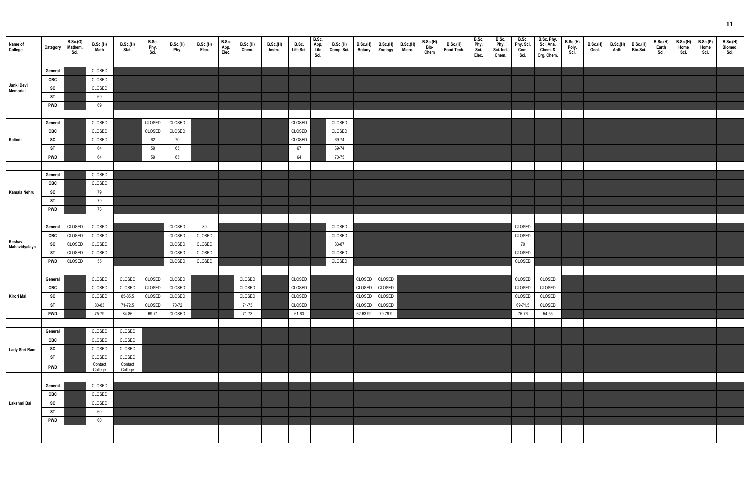| Name of<br>College      | Category         | B.Sc.(G)<br>Mathem.<br>Sci. | B.Sc.(H)<br>Math | B.Sc.(H)<br>Stat.  | B.Sc.<br>Phy.<br>Sci | <b>B.Sc.(H)</b><br>Phy. | B.Sc.(H)<br>Elec. | B.Sc.<br>App.<br>Elec. | <b>B.Sc.(H)</b><br>Chem. | B.Sc.(H)<br>Instru. | B.Sc.<br>Life Sci. | B.Sc.<br>App.<br>Life<br>Sci. | <b>B.Sc.(H)</b><br>Comp. Sci. | <b>B.Sc.(H)</b><br><b>Botany</b> | <b>B.Sc.(H)</b><br>Zoology     | <b>B.Sc.(H)</b><br>Micro. | <b>B.Sc.(H)</b><br>Bio-<br>Chem | <b>B.Sc.(H)</b><br>Food Tech. | B.Sc.<br>Phy.<br>Sci.<br>Elec. | B.Sc.<br>Phy.<br>Sci. Ind.<br>Chem. | B.Sc.<br>Phy. Sci.<br>Com.<br>Sci. | B.Sc. Phy.<br>Sci. Ana.<br>Chem. &<br>Org. Chem. | <b>B.Sc.(H)</b><br>Poly.<br>Sci. | B.Sc.(H)<br>Geol. | $B.Sc.(H)$ $B.Sc.(H)$<br>Anth. | Bio-Sci. | B.Sc.(H)<br>Earth<br>Sci. | B.Sc.(H)<br>Home<br>Sci. | B.Sc.(P)<br>Home<br>Sci. | <b>B.Sc.(H)</b><br>Biomed.<br>Sci. |
|-------------------------|------------------|-----------------------------|------------------|--------------------|----------------------|-------------------------|-------------------|------------------------|--------------------------|---------------------|--------------------|-------------------------------|-------------------------------|----------------------------------|--------------------------------|---------------------------|---------------------------------|-------------------------------|--------------------------------|-------------------------------------|------------------------------------|--------------------------------------------------|----------------------------------|-------------------|--------------------------------|----------|---------------------------|--------------------------|--------------------------|------------------------------------|
|                         |                  |                             |                  |                    |                      |                         |                   |                        |                          |                     |                    |                               |                               |                                  |                                |                           |                                 |                               |                                |                                     |                                    |                                                  |                                  |                   |                                |          |                           |                          |                          |                                    |
|                         | General          |                             | CLOSED           |                    |                      |                         |                   |                        |                          |                     |                    |                               |                               |                                  |                                |                           |                                 |                               |                                |                                     |                                    |                                                  |                                  |                   |                                |          |                           |                          |                          |                                    |
| Janki Devi              | OBC              |                             | CLOSED           |                    |                      |                         |                   |                        |                          |                     |                    |                               |                               |                                  |                                |                           |                                 |                               |                                |                                     |                                    |                                                  |                                  |                   |                                |          |                           |                          |                          |                                    |
| Memorial                | SC               |                             | CLOSED           |                    |                      |                         |                   |                        |                          |                     |                    |                               |                               |                                  |                                |                           |                                 |                               |                                |                                     |                                    |                                                  |                                  |                   |                                |          |                           |                          |                          |                                    |
|                         | <b>ST</b>        |                             | 69               |                    |                      |                         |                   |                        |                          |                     |                    |                               |                               |                                  |                                |                           |                                 |                               |                                |                                     |                                    |                                                  |                                  |                   |                                |          |                           |                          |                          |                                    |
|                         | <b>PWD</b>       |                             | 69               |                    |                      |                         |                   |                        |                          |                     |                    |                               |                               |                                  |                                |                           |                                 |                               |                                |                                     |                                    |                                                  |                                  |                   |                                |          |                           |                          |                          |                                    |
|                         |                  |                             |                  |                    |                      |                         |                   |                        |                          |                     |                    |                               |                               |                                  |                                |                           |                                 |                               |                                |                                     |                                    |                                                  |                                  |                   |                                |          |                           |                          |                          |                                    |
|                         | General          |                             | CLOSED           |                    | CLOSED               | CLOSED                  |                   |                        |                          |                     | CLOSED             |                               | CLOSED                        |                                  |                                |                           |                                 |                               |                                |                                     |                                    |                                                  |                                  |                   |                                |          |                           |                          |                          |                                    |
|                         | OBC              |                             | CLOSED<br>CLOSED |                    | CLOSED               | CLOSED                  |                   |                        |                          |                     | CLOSED<br>CLOSED   |                               | CLOSED<br>69-74               |                                  |                                |                           |                                 |                               |                                |                                     |                                    |                                                  |                                  |                   |                                |          |                           |                          |                          |                                    |
| Kalindi                 | SC               |                             |                  |                    | 62                   | 70                      |                   |                        |                          |                     | 67                 |                               | 69-74                         |                                  |                                |                           |                                 |                               |                                |                                     |                                    |                                                  |                                  |                   |                                |          |                           |                          |                          |                                    |
|                         | ST<br><b>PWD</b> |                             | 64<br>64         |                    | 59<br>59             | 65                      |                   |                        |                          |                     | 64                 |                               | 70-75                         |                                  |                                |                           |                                 |                               |                                |                                     |                                    |                                                  |                                  |                   |                                |          |                           |                          |                          |                                    |
|                         |                  |                             |                  |                    |                      | 65                      |                   |                        |                          |                     |                    |                               |                               |                                  |                                |                           |                                 |                               |                                |                                     |                                    |                                                  |                                  |                   |                                |          |                           |                          |                          |                                    |
|                         |                  |                             |                  |                    |                      |                         |                   |                        |                          |                     |                    |                               |                               |                                  |                                |                           |                                 |                               |                                |                                     |                                    |                                                  |                                  |                   |                                |          |                           |                          |                          |                                    |
|                         | General          |                             | CLOSED           |                    |                      |                         |                   |                        |                          |                     |                    |                               |                               |                                  |                                |                           |                                 |                               |                                |                                     |                                    |                                                  |                                  |                   |                                |          |                           |                          |                          |                                    |
|                         | OBC              |                             | CLOSED           |                    |                      |                         |                   |                        |                          |                     |                    |                               |                               |                                  |                                |                           |                                 |                               |                                |                                     |                                    |                                                  |                                  |                   |                                |          |                           |                          |                          |                                    |
| Kamala Nehru            | SC               |                             | 79               |                    |                      |                         |                   |                        |                          |                     |                    |                               |                               |                                  |                                |                           |                                 |                               |                                |                                     |                                    |                                                  |                                  |                   |                                |          |                           |                          |                          |                                    |
|                         | <b>ST</b>        |                             | 79               |                    |                      |                         |                   |                        |                          |                     |                    |                               |                               |                                  |                                |                           |                                 |                               |                                |                                     |                                    |                                                  |                                  |                   |                                |          |                           |                          |                          |                                    |
|                         | <b>PWD</b>       |                             | 78               |                    |                      |                         |                   |                        |                          |                     |                    |                               |                               |                                  |                                |                           |                                 |                               |                                |                                     |                                    |                                                  |                                  |                   |                                |          |                           |                          |                          |                                    |
|                         |                  |                             |                  |                    |                      |                         |                   |                        |                          |                     |                    |                               |                               |                                  |                                |                           |                                 |                               |                                |                                     |                                    |                                                  |                                  |                   |                                |          |                           |                          |                          |                                    |
|                         | General          | CLOSED                      | CLOSED           |                    |                      | CLOSED                  | 89                |                        |                          |                     |                    |                               | CLOSED                        |                                  |                                |                           |                                 |                               |                                |                                     | CLOSED                             |                                                  |                                  |                   |                                |          |                           |                          |                          |                                    |
|                         | <b>OBC</b>       | CLOSED                      | CLOSED           |                    |                      | CLOSED                  | CLOSED            |                        |                          |                     |                    |                               | CLOSED                        |                                  |                                |                           |                                 |                               |                                |                                     | CLOSED                             |                                                  |                                  |                   |                                |          |                           |                          |                          |                                    |
| Keshav<br>Mahavidyalaya | <b>SC</b>        | CLOSED                      | CLOSED           |                    |                      | CLOSED                  | CLOSED            |                        |                          |                     |                    |                               | 83-87                         |                                  |                                |                           |                                 |                               |                                |                                     | 70                                 |                                                  |                                  |                   |                                |          |                           |                          |                          |                                    |
|                         | ST               | CLOSED                      | CLOSED           |                    |                      | CLOSED                  | CLOSED            |                        |                          |                     |                    |                               | CLOSED                        |                                  |                                |                           |                                 |                               |                                |                                     | CLOSED                             |                                                  |                                  |                   |                                |          |                           |                          |                          |                                    |
|                         | <b>PWD</b>       | CLOSED                      | 55               |                    |                      | CLOSED                  | CLOSED            |                        |                          |                     |                    |                               | CLOSED                        |                                  |                                |                           |                                 |                               |                                |                                     | CLOSED                             |                                                  |                                  |                   |                                |          |                           |                          |                          |                                    |
|                         |                  |                             |                  |                    |                      |                         |                   |                        |                          |                     |                    |                               |                               |                                  |                                |                           |                                 |                               |                                |                                     |                                    |                                                  |                                  |                   |                                |          |                           |                          |                          |                                    |
|                         | General          |                             | CLOSED           | CLOSED             | CLOSED               | CLOSED                  |                   |                        | CLOSED                   |                     | CLOSED             |                               |                               | CLOSED                           | CLOSED                         |                           |                                 |                               |                                |                                     | CLOSED                             | CLOSED                                           |                                  |                   |                                |          |                           |                          |                          |                                    |
|                         | OBC              |                             | CLOSED           | CLOSED             | CLOSED               | CLOSED                  |                   |                        | CLOSED                   |                     | CLOSED             |                               |                               | CLOSED                           | CLOSED                         |                           |                                 |                               |                                |                                     | CLOSED                             | CLOSED                                           |                                  |                   |                                |          |                           |                          |                          |                                    |
| <b>Kirori Mal</b>       | SC<br><b>ST</b>  |                             | CLOSED<br>80-83  | 85-85.5<br>71-72.5 | CLOSED               | CLOSED CLOSED<br>70-72  |                   |                        | CLOSED<br>71-73          |                     | CLOSED<br>CLOSED   |                               |                               |                                  | CLOSED CLOSED<br>CLOSED CLOSED |                           |                                 |                               |                                |                                     | CLOSED<br>69-71.5                  | CLOSED<br>CLOSED                                 |                                  |                   |                                |          |                           |                          |                          |                                    |
|                         | <b>PWD</b>       |                             | 75-79            | 84-86              | 69-71                | CLOSED                  |                   |                        | 71-73                    |                     | 61-63              |                               |                               |                                  | 62-63.99 79-79.9               |                           |                                 |                               |                                |                                     | 75-76                              | 54-55                                            |                                  |                   |                                |          |                           |                          |                          |                                    |
|                         |                  |                             |                  |                    |                      |                         |                   |                        |                          |                     |                    |                               |                               |                                  |                                |                           |                                 |                               |                                |                                     |                                    |                                                  |                                  |                   |                                |          |                           |                          |                          |                                    |
|                         | General          |                             | CLOSED           | CLOSED             |                      |                         |                   |                        |                          |                     |                    |                               |                               |                                  |                                |                           |                                 |                               |                                |                                     |                                    |                                                  |                                  |                   |                                |          |                           |                          |                          |                                    |
|                         | OBC              |                             | CLOSED           | CLOSED             |                      |                         |                   |                        |                          |                     |                    |                               |                               |                                  |                                |                           |                                 |                               |                                |                                     |                                    |                                                  |                                  |                   |                                |          |                           |                          |                          |                                    |
|                         | SC               |                             | CLOSED           | CLOSED             |                      |                         |                   |                        |                          |                     |                    |                               |                               |                                  |                                |                           |                                 |                               |                                |                                     |                                    |                                                  |                                  |                   |                                |          |                           |                          |                          |                                    |
| Lady Shri Ram           | <b>ST</b>        |                             | CLOSED           | CLOSED             |                      |                         |                   |                        |                          |                     |                    |                               |                               |                                  |                                |                           |                                 |                               |                                |                                     |                                    |                                                  |                                  |                   |                                |          |                           |                          |                          |                                    |
|                         |                  |                             | Contact          | Contact            |                      |                         |                   |                        |                          |                     |                    |                               |                               |                                  |                                |                           |                                 |                               |                                |                                     |                                    |                                                  |                                  |                   |                                |          |                           |                          |                          |                                    |
|                         | <b>PWD</b>       |                             | College          | College            |                      |                         |                   |                        |                          |                     |                    |                               |                               |                                  |                                |                           |                                 |                               |                                |                                     |                                    |                                                  |                                  |                   |                                |          |                           |                          |                          |                                    |
|                         |                  |                             |                  |                    |                      |                         |                   |                        |                          |                     |                    |                               |                               |                                  |                                |                           |                                 |                               |                                |                                     |                                    |                                                  |                                  |                   |                                |          |                           |                          |                          |                                    |
|                         | General          |                             | CLOSED           |                    |                      |                         |                   |                        |                          |                     |                    |                               |                               |                                  |                                |                           |                                 |                               |                                |                                     |                                    |                                                  |                                  |                   |                                |          |                           |                          |                          |                                    |
|                         | OBC              |                             | CLOSED           |                    |                      |                         |                   |                        |                          |                     |                    |                               |                               |                                  |                                |                           |                                 |                               |                                |                                     |                                    |                                                  |                                  |                   |                                |          |                           |                          |                          |                                    |
| Lakshmi Bai             | SC               |                             | CLOSED           |                    |                      |                         |                   |                        |                          |                     |                    |                               |                               |                                  |                                |                           |                                 |                               |                                |                                     |                                    |                                                  |                                  |                   |                                |          |                           |                          |                          |                                    |
|                         | <b>ST</b>        |                             | 60               |                    |                      |                         |                   |                        |                          |                     |                    |                               |                               |                                  |                                |                           |                                 |                               |                                |                                     |                                    |                                                  |                                  |                   |                                |          |                           |                          |                          |                                    |
|                         | <b>PWD</b>       |                             | 60               |                    |                      |                         |                   |                        |                          |                     |                    |                               |                               |                                  |                                |                           |                                 |                               |                                |                                     |                                    |                                                  |                                  |                   |                                |          |                           |                          |                          |                                    |
|                         |                  |                             |                  |                    |                      |                         |                   |                        |                          |                     |                    |                               |                               |                                  |                                |                           |                                 |                               |                                |                                     |                                    |                                                  |                                  |                   |                                |          |                           |                          |                          |                                    |
|                         |                  |                             |                  |                    |                      |                         |                   |                        |                          |                     |                    |                               |                               |                                  |                                |                           |                                 |                               |                                |                                     |                                    |                                                  |                                  |                   |                                |          |                           |                          |                          |                                    |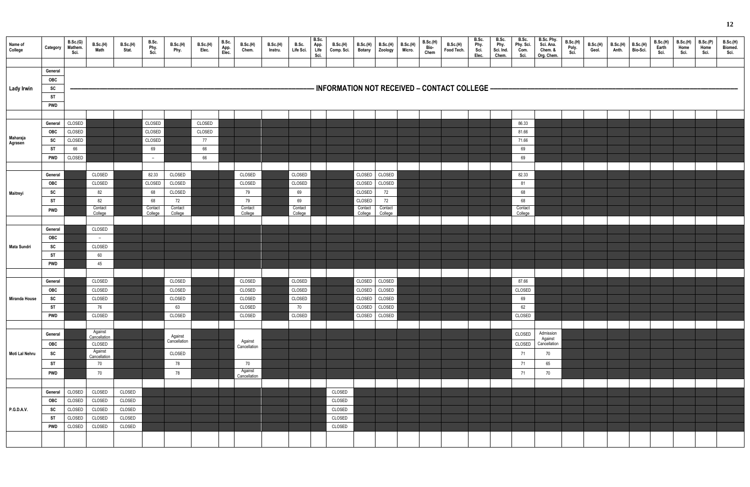| Name of<br>College   | Category   | B.Sc.(G)<br>Mathem.<br>Sci. | B.Sc.(H)<br>Math        | B.Sc.(H)<br>Stat. | B.Sc.<br>Phy.<br>Sci. | B.Sc.(H)<br>Phy.        | <b>B.Sc.(H)</b><br>Elec. | B.Sc.<br>App.<br>Elec. | B.Sc.(H)<br>Chem.       | B.Sc.(H)<br>Instru. | B.Sc.<br>B.Sc.<br>App.<br>Life<br>Life Sci.<br>Sci. | <b>B.Sc.(H)</b><br>Comp. Sci.                  | <b>Botany</b>      | $B.Sc.(H)$ $B.Sc.(H)$<br>Zoology | B.Sc.(H)<br>Micro. | B.Sc.(H)<br>Bio-<br>Chem | B.Sc.(H)<br>Food Tech. | B.Sc.<br>Phy.<br>Sci.<br>Elec. | B.Sc.<br>Phy.<br>Sci. Ind.<br>Chem. | B.Sc.<br>Phy. Sci.<br>Com.<br>Sci. | B.Sc. Phy.<br>Sci. Ana.<br>Chem. &<br>Org. Chem. | B.Sc.(H)<br>Poly.<br>Sci. | B.Sc.(H)<br>Geol. | B.Sc.(H)<br>Anth. | B.Sc.(H)<br>Bio-Sci. | B.Sc.(H)<br>Earth<br>Sci. | B.Sc.(H)<br>Home<br>Sci. | B.Sc.(P)<br>Home<br>Sci. | <b>B.Sc.(H)</b><br>Biomed.<br>Sci. |
|----------------------|------------|-----------------------------|-------------------------|-------------------|-----------------------|-------------------------|--------------------------|------------------------|-------------------------|---------------------|-----------------------------------------------------|------------------------------------------------|--------------------|----------------------------------|--------------------|--------------------------|------------------------|--------------------------------|-------------------------------------|------------------------------------|--------------------------------------------------|---------------------------|-------------------|-------------------|----------------------|---------------------------|--------------------------|--------------------------|------------------------------------|
|                      |            |                             |                         |                   |                       |                         |                          |                        |                         |                     |                                                     |                                                |                    |                                  |                    |                          |                        |                                |                                     |                                    |                                                  |                           |                   |                   |                      |                           |                          |                          |                                    |
|                      | General    |                             |                         |                   |                       |                         |                          |                        |                         |                     |                                                     |                                                |                    |                                  |                    |                          |                        |                                |                                     |                                    |                                                  |                           |                   |                   |                      |                           |                          |                          |                                    |
|                      | <b>OBC</b> |                             |                         |                   |                       |                         |                          |                        |                         |                     |                                                     |                                                |                    |                                  |                    |                          |                        |                                |                                     |                                    |                                                  |                           |                   |                   |                      |                           |                          |                          |                                    |
| <b>Lady Irwin</b>    | SC         |                             |                         |                   |                       |                         |                          |                        |                         |                     |                                                     | - INFORMATION NOT RECEIVED – CONTACT COLLEGE – |                    |                                  |                    |                          |                        |                                |                                     |                                    |                                                  |                           |                   |                   |                      |                           |                          |                          |                                    |
|                      | <b>ST</b>  |                             |                         |                   |                       |                         |                          |                        |                         |                     |                                                     |                                                |                    |                                  |                    |                          |                        |                                |                                     |                                    |                                                  |                           |                   |                   |                      |                           |                          |                          |                                    |
|                      | <b>PWD</b> |                             |                         |                   |                       |                         |                          |                        |                         |                     |                                                     |                                                |                    |                                  |                    |                          |                        |                                |                                     |                                    |                                                  |                           |                   |                   |                      |                           |                          |                          |                                    |
|                      |            |                             |                         |                   |                       |                         |                          |                        |                         |                     |                                                     |                                                |                    |                                  |                    |                          |                        |                                |                                     |                                    |                                                  |                           |                   |                   |                      |                           |                          |                          |                                    |
|                      | General    | CLOSED                      |                         |                   | CLOSED                |                         | CLOSED                   |                        |                         |                     |                                                     |                                                |                    |                                  |                    |                          |                        |                                |                                     | 86.33                              |                                                  |                           |                   |                   |                      |                           |                          |                          |                                    |
|                      | <b>OBC</b> | CLOSED                      |                         |                   | CLOSED                |                         | CLOSED                   |                        |                         |                     |                                                     |                                                |                    |                                  |                    |                          |                        |                                |                                     | 81.66                              |                                                  |                           |                   |                   |                      |                           |                          |                          |                                    |
| Maharaja<br>Agrasen  | SC         | CLOSED                      |                         |                   | CLOSED                |                         | 77                       |                        |                         |                     |                                                     |                                                |                    |                                  |                    |                          |                        |                                |                                     | 71.66                              |                                                  |                           |                   |                   |                      |                           |                          |                          |                                    |
|                      | <b>ST</b>  | 66                          |                         |                   | 69                    |                         | 66                       |                        |                         |                     |                                                     |                                                |                    |                                  |                    |                          |                        |                                |                                     | 69                                 |                                                  |                           |                   |                   |                      |                           |                          |                          |                                    |
|                      | <b>PWD</b> | CLOSED                      |                         |                   | $-$                   |                         | 66                       |                        |                         |                     |                                                     |                                                |                    |                                  |                    |                          |                        |                                |                                     | 69                                 |                                                  |                           |                   |                   |                      |                           |                          |                          |                                    |
|                      |            |                             |                         |                   |                       |                         |                          |                        |                         |                     |                                                     |                                                |                    |                                  |                    |                          |                        |                                |                                     |                                    |                                                  |                           |                   |                   |                      |                           |                          |                          |                                    |
|                      | General    |                             | CLOSED                  |                   | 82.33                 | CLOSED                  |                          |                        | CLOSED                  |                     | CLOSED                                              |                                                | CLOSED             | CLOSED                           |                    |                          |                        |                                |                                     | 82.33                              |                                                  |                           |                   |                   |                      |                           |                          |                          |                                    |
|                      | OBC        |                             | CLOSED                  |                   | CLOSED                | CLOSED                  |                          |                        | CLOSED                  |                     | CLOSED                                              |                                                | CLOSED             | CLOSED                           |                    |                          |                        |                                |                                     | 81                                 |                                                  |                           |                   |                   |                      |                           |                          |                          |                                    |
| Maitreyi             | SC         |                             | 82                      |                   | 68                    | CLOSED                  |                          |                        | 79                      |                     | 69                                                  |                                                | CLOSED             | 72                               |                    |                          |                        |                                |                                     | 68                                 |                                                  |                           |                   |                   |                      |                           |                          |                          |                                    |
|                      | <b>ST</b>  |                             | 82                      |                   | 68                    | 72                      |                          |                        | 79                      |                     | 69                                                  |                                                | CLOSED             | 72                               |                    |                          |                        |                                |                                     | 68                                 |                                                  |                           |                   |                   |                      |                           |                          |                          |                                    |
|                      | <b>PWD</b> |                             | Contact<br>College      |                   | Contact<br>College    | Contact<br>College      |                          |                        | Contact<br>College      |                     | Contact<br>College                                  |                                                | Contact<br>College | Contact<br>College               |                    |                          |                        |                                |                                     | Contact<br>College                 |                                                  |                           |                   |                   |                      |                           |                          |                          |                                    |
|                      |            |                             |                         |                   |                       |                         |                          |                        |                         |                     |                                                     |                                                |                    |                                  |                    |                          |                        |                                |                                     |                                    |                                                  |                           |                   |                   |                      |                           |                          |                          |                                    |
|                      | General    |                             | CLOSED                  |                   |                       |                         |                          |                        |                         |                     |                                                     |                                                |                    |                                  |                    |                          |                        |                                |                                     |                                    |                                                  |                           |                   |                   |                      |                           |                          |                          |                                    |
|                      | OBC        |                             | $\overline{a}$          |                   |                       |                         |                          |                        |                         |                     |                                                     |                                                |                    |                                  |                    |                          |                        |                                |                                     |                                    |                                                  |                           |                   |                   |                      |                           |                          |                          |                                    |
| <b>Mata Sundri</b>   | <b>SC</b>  |                             | CLOSED                  |                   |                       |                         |                          |                        |                         |                     |                                                     |                                                |                    |                                  |                    |                          |                        |                                |                                     |                                    |                                                  |                           |                   |                   |                      |                           |                          |                          |                                    |
|                      | <b>ST</b>  |                             | 60                      |                   |                       |                         |                          |                        |                         |                     |                                                     |                                                |                    |                                  |                    |                          |                        |                                |                                     |                                    |                                                  |                           |                   |                   |                      |                           |                          |                          |                                    |
|                      | <b>PWD</b> |                             | 45                      |                   |                       |                         |                          |                        |                         |                     |                                                     |                                                |                    |                                  |                    |                          |                        |                                |                                     |                                    |                                                  |                           |                   |                   |                      |                           |                          |                          |                                    |
|                      |            |                             |                         |                   |                       |                         |                          |                        |                         |                     |                                                     |                                                |                    |                                  |                    |                          |                        |                                |                                     |                                    |                                                  |                           |                   |                   |                      |                           |                          |                          |                                    |
|                      | General    |                             | CLOSED                  |                   |                       | CLOSED                  |                          |                        | CLOSED                  |                     | CLOSED                                              |                                                | CLOSED             | CLOSED                           |                    |                          |                        |                                |                                     | 87.66                              |                                                  |                           |                   |                   |                      |                           |                          |                          |                                    |
|                      | OBC        |                             | CLOSED                  |                   |                       | CLOSED                  |                          |                        | CLOSED                  |                     | CLOSED                                              |                                                | CLOSED             | CLOSED                           |                    |                          |                        |                                |                                     | CLOSED                             |                                                  |                           |                   |                   |                      |                           |                          |                          |                                    |
| <b>Miranda House</b> | SC         |                             | CLOSED                  |                   |                       | CLOSED                  |                          |                        | CLOSED                  |                     | CLOSED                                              |                                                |                    | CLOSED CLOSED                    |                    |                          |                        |                                |                                     | 69                                 |                                                  |                           |                   |                   |                      |                           |                          |                          |                                    |
|                      | <b>ST</b>  |                             | 76                      |                   |                       | 63                      |                          |                        | CLOSED                  |                     | 70                                                  |                                                | CLOSED             | CLOSED                           |                    |                          |                        |                                |                                     | 62                                 |                                                  |                           |                   |                   |                      |                           |                          |                          |                                    |
|                      | <b>PWD</b> |                             | CLOSED                  |                   |                       | CLOSED                  |                          |                        | CLOSED                  |                     | CLOSED                                              |                                                |                    | CLOSED CLOSED                    |                    |                          |                        |                                |                                     | CLOSED                             |                                                  |                           |                   |                   |                      |                           |                          |                          |                                    |
|                      |            |                             |                         |                   |                       |                         |                          |                        |                         |                     |                                                     |                                                |                    |                                  |                    |                          |                        |                                |                                     |                                    |                                                  |                           |                   |                   |                      |                           |                          |                          |                                    |
|                      |            |                             | Against                 |                   |                       |                         |                          |                        |                         |                     |                                                     |                                                |                    |                                  |                    |                          |                        |                                |                                     |                                    | Admission                                        |                           |                   |                   |                      |                           |                          |                          |                                    |
|                      | General    |                             | Cancellation            |                   |                       | Against<br>Cancellation |                          |                        | Against                 |                     |                                                     |                                                |                    |                                  |                    |                          |                        |                                |                                     | CLOSED                             | Against                                          |                           |                   |                   |                      |                           |                          |                          |                                    |
|                      | OBC        |                             | CLOSED                  |                   |                       |                         |                          |                        | Cancellation            |                     |                                                     |                                                |                    |                                  |                    |                          |                        |                                |                                     | CLOSED                             | Cancellation                                     |                           |                   |                   |                      |                           |                          |                          |                                    |
| Moti Lal Nehru       | SC         |                             | Against<br>Cancellation |                   |                       | CLOSED                  |                          |                        |                         |                     |                                                     |                                                |                    |                                  |                    |                          |                        |                                |                                     | 71                                 | 70                                               |                           |                   |                   |                      |                           |                          |                          |                                    |
|                      | <b>ST</b>  |                             | 70                      |                   |                       | 78                      |                          |                        | 70                      |                     |                                                     |                                                |                    |                                  |                    |                          |                        |                                |                                     | 71                                 | 65                                               |                           |                   |                   |                      |                           |                          |                          |                                    |
|                      | <b>PWD</b> |                             | 70                      |                   |                       | 78                      |                          |                        | Against<br>Cancellation |                     |                                                     |                                                |                    |                                  |                    |                          |                        |                                |                                     | 71                                 | 70                                               |                           |                   |                   |                      |                           |                          |                          |                                    |
|                      |            |                             |                         |                   |                       |                         |                          |                        |                         |                     |                                                     |                                                |                    |                                  |                    |                          |                        |                                |                                     |                                    |                                                  |                           |                   |                   |                      |                           |                          |                          |                                    |
|                      | General    | CLOSED                      | CLOSED                  | CLOSED            |                       |                         |                          |                        |                         |                     |                                                     | CLOSED                                         |                    |                                  |                    |                          |                        |                                |                                     |                                    |                                                  |                           |                   |                   |                      |                           |                          |                          |                                    |
|                      | OBC        | CLOSED                      | CLOSED                  | CLOSED            |                       |                         |                          |                        |                         |                     |                                                     | CLOSED                                         |                    |                                  |                    |                          |                        |                                |                                     |                                    |                                                  |                           |                   |                   |                      |                           |                          |                          |                                    |
| P.G.D.A.V.           | <b>SC</b>  | CLOSED                      | CLOSED                  | CLOSED            |                       |                         |                          |                        |                         |                     |                                                     | CLOSED                                         |                    |                                  |                    |                          |                        |                                |                                     |                                    |                                                  |                           |                   |                   |                      |                           |                          |                          |                                    |
|                      | <b>ST</b>  | CLOSED                      | CLOSED                  | CLOSED            |                       |                         |                          |                        |                         |                     |                                                     | CLOSED                                         |                    |                                  |                    |                          |                        |                                |                                     |                                    |                                                  |                           |                   |                   |                      |                           |                          |                          |                                    |
|                      | <b>PWD</b> | CLOSED                      | CLOSED                  | CLOSED            |                       |                         |                          |                        |                         |                     |                                                     | CLOSED                                         |                    |                                  |                    |                          |                        |                                |                                     |                                    |                                                  |                           |                   |                   |                      |                           |                          |                          |                                    |
|                      |            |                             |                         |                   |                       |                         |                          |                        |                         |                     |                                                     |                                                |                    |                                  |                    |                          |                        |                                |                                     |                                    |                                                  |                           |                   |                   |                      |                           |                          |                          |                                    |
|                      |            |                             |                         |                   |                       |                         |                          |                        |                         |                     |                                                     |                                                |                    |                                  |                    |                          |                        |                                |                                     |                                    |                                                  |                           |                   |                   |                      |                           |                          |                          |                                    |
|                      |            |                             |                         |                   |                       |                         |                          |                        |                         |                     |                                                     |                                                |                    |                                  |                    |                          |                        |                                |                                     |                                    |                                                  |                           |                   |                   |                      |                           |                          |                          |                                    |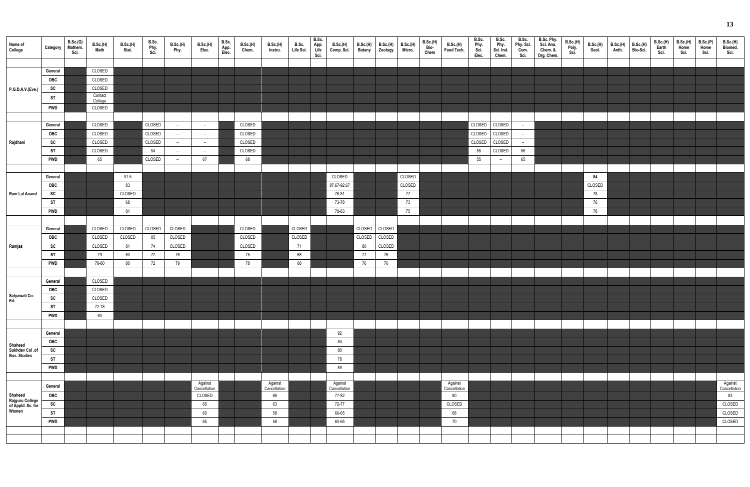| Name of<br>College                            | Category                | B.Sc.(G)<br>Mathem.<br>Sci. | <b>B.Sc.(H)</b><br><b>Math</b> | B.Sc.(H)<br>Stat. | B.Sc.<br>Phy.<br>Sci. | B.Sc.(H)<br>Phy.                                     | B.Sc.(H)<br>Elec.       | B.Sc.<br>App.<br>Elec. | B.Sc.(H)<br>Chem. | B.Sc.(H)<br>Instru.     | B.Sc.<br>Life Sci. | B.Sc.<br>App.<br>Life<br>Sci. | <b>B.Sc.(H)</b><br>Comp. Sci. | <b>B.Sc.(H)</b><br><b>Botany</b> | <b>B.Sc.(H)</b><br>Zoology | <b>B.Sc.(H)</b><br>Micro. | B.Sc.(H)<br>Bio-<br>Chem | <b>B.Sc.(H)</b><br>Food Tech. | B.Sc.<br>Phy.<br>Sci.<br>Elec. | B.Sc.<br>Phy.<br>Sci. Ind.<br>Chem. | B.Sc.<br>Phy. Sci.<br>Com.<br>Sci. | B.Sc. Phy.<br>Sci. Ana.<br>Chem. &<br>Org. Chem. | B.Sc.(H)<br>Poly.<br>Sci. | <b>B.Sc.(H)</b><br>Geol. | $B.Sc.(H)$ B.Sc.(H)<br>Anth. | Bio-Sci. | B.Sc.(H)<br>Earth<br>Sci. | B.Sc.(H)<br>Home<br>Sci. | B.Sc.(P)<br>Home<br>Sci. | <b>B.Sc.(H)</b><br>Biomed.<br>Sci. |
|-----------------------------------------------|-------------------------|-----------------------------|--------------------------------|-------------------|-----------------------|------------------------------------------------------|-------------------------|------------------------|-------------------|-------------------------|--------------------|-------------------------------|-------------------------------|----------------------------------|----------------------------|---------------------------|--------------------------|-------------------------------|--------------------------------|-------------------------------------|------------------------------------|--------------------------------------------------|---------------------------|--------------------------|------------------------------|----------|---------------------------|--------------------------|--------------------------|------------------------------------|
|                                               |                         |                             |                                |                   |                       |                                                      |                         |                        |                   |                         |                    |                               |                               |                                  |                            |                           |                          |                               |                                |                                     |                                    |                                                  |                           |                          |                              |          |                           |                          |                          |                                    |
|                                               | General<br>OBC          |                             | CLOSED<br>CLOSED               |                   |                       |                                                      |                         |                        |                   |                         |                    |                               |                               |                                  |                            |                           |                          |                               |                                |                                     |                                    |                                                  |                           |                          |                              |          |                           |                          |                          |                                    |
|                                               | SC                      |                             | CLOSED                         |                   |                       |                                                      |                         |                        |                   |                         |                    |                               |                               |                                  |                            |                           |                          |                               |                                |                                     |                                    |                                                  |                           |                          |                              |          |                           |                          |                          |                                    |
| P.G.D.A.V.(Eve.)                              |                         |                             | Contact                        |                   |                       |                                                      |                         |                        |                   |                         |                    |                               |                               |                                  |                            |                           |                          |                               |                                |                                     |                                    |                                                  |                           |                          |                              |          |                           |                          |                          |                                    |
|                                               | ST                      |                             | College                        |                   |                       |                                                      |                         |                        |                   |                         |                    |                               |                               |                                  |                            |                           |                          |                               |                                |                                     |                                    |                                                  |                           |                          |                              |          |                           |                          |                          |                                    |
|                                               | <b>PWD</b>              |                             | CLOSED                         |                   |                       |                                                      |                         |                        |                   |                         |                    |                               |                               |                                  |                            |                           |                          |                               |                                |                                     |                                    |                                                  |                           |                          |                              |          |                           |                          |                          |                                    |
|                                               |                         |                             | CLOSED                         |                   | CLOSED                |                                                      |                         |                        | CLOSED            |                         |                    |                               |                               |                                  |                            |                           |                          |                               | CLOSED                         | CLOSED                              |                                    |                                                  |                           |                          |                              |          |                           |                          |                          |                                    |
|                                               | General<br>OBC          |                             | CLOSED                         |                   | CLOSED                | $\overline{\phantom{a}}$<br>$\overline{\phantom{a}}$ | $ \,$<br>$-$            |                        | CLOSED            |                         |                    |                               |                               |                                  |                            |                           |                          |                               | CLOSED                         | CLOSED                              | $-$<br>$\sim$                      |                                                  |                           |                          |                              |          |                           |                          |                          |                                    |
| Rajdhani                                      | SC                      |                             | CLOSED                         |                   | CLOSED                | $\overline{\phantom{a}}$                             | $ \,$                   |                        | CLOSED            |                         |                    |                               |                               |                                  |                            |                           |                          |                               | CLOSED                         | CLOSED                              | $\overline{a}$                     |                                                  |                           |                          |                              |          |                           |                          |                          |                                    |
|                                               | <b>ST</b>               |                             | CLOSED                         |                   | 54                    | $\overline{\phantom{a}}$                             | $\sim$                  |                        | CLOSED            |                         |                    |                               |                               |                                  |                            |                           |                          |                               | 55                             | CLOSED                              | 56                                 |                                                  |                           |                          |                              |          |                           |                          |                          |                                    |
|                                               | <b>PWD</b>              |                             | 65                             |                   | CLOSED                | $\overline{\phantom{a}}$                             | 67                      |                        | 68                |                         |                    |                               |                               |                                  |                            |                           |                          |                               | 55                             | $\qquad \qquad -$                   | 65                                 |                                                  |                           |                          |                              |          |                           |                          |                          |                                    |
|                                               |                         |                             |                                |                   |                       |                                                      |                         |                        |                   |                         |                    |                               |                               |                                  |                            |                           |                          |                               |                                |                                     |                                    |                                                  |                           |                          |                              |          |                           |                          |                          |                                    |
|                                               | General                 |                             |                                | 91.5              |                       |                                                      |                         |                        |                   |                         |                    |                               | CLOSED                        |                                  |                            | CLOSED                    |                          |                               |                                |                                     |                                    |                                                  |                           | 84                       |                              |          |                           |                          |                          |                                    |
|                                               | OBC                     |                             |                                | 83                |                       |                                                      |                         |                        |                   |                         |                    |                               | 87.67-92.67                   |                                  |                            | CLOSED                    |                          |                               |                                |                                     |                                    |                                                  |                           | CLOSED                   |                              |          |                           |                          |                          |                                    |
| Ram Lal Anand                                 | SC                      |                             |                                | CLOSED            |                       |                                                      |                         |                        |                   |                         |                    |                               | 76-81                         |                                  |                            | 77                        |                          |                               |                                |                                     |                                    |                                                  |                           | 78                       |                              |          |                           |                          |                          |                                    |
|                                               | <b>ST</b>               |                             |                                | 68                |                       |                                                      |                         |                        |                   |                         |                    |                               | 73-78                         |                                  |                            | 73                        |                          |                               |                                |                                     |                                    |                                                  |                           | 76                       |                              |          |                           |                          |                          |                                    |
|                                               | <b>PWD</b>              |                             |                                | 81                |                       |                                                      |                         |                        |                   |                         |                    |                               | 78-83                         |                                  |                            | 75                        |                          |                               |                                |                                     |                                    |                                                  |                           | 78                       |                              |          |                           |                          |                          |                                    |
|                                               |                         |                             |                                |                   |                       |                                                      |                         |                        |                   |                         |                    |                               |                               |                                  |                            |                           |                          |                               |                                |                                     |                                    |                                                  |                           |                          |                              |          |                           |                          |                          |                                    |
|                                               | General                 |                             | CLOSED                         | CLOSED            | CLOSED                | CLOSED                                               |                         |                        | CLOSED            |                         | CLOSED             |                               |                               | CLOSED                           | CLOSED                     |                           |                          |                               |                                |                                     |                                    |                                                  |                           |                          |                              |          |                           |                          |                          |                                    |
|                                               | OBC                     |                             | CLOSED                         | CLOSED            | 85                    | CLOSED                                               |                         |                        | CLOSED            |                         | CLOSED             |                               |                               | CLOSED                           | CLOSED                     |                           |                          |                               |                                |                                     |                                    |                                                  |                           |                          |                              |          |                           |                          |                          |                                    |
| Ramjas                                        | <b>SC</b>               |                             | CLOSED                         | 81                | 74                    | CLOSED                                               |                         |                        | CLOSED            |                         | 71                 |                               |                               | 80                               | CLOSED                     |                           |                          |                               |                                |                                     |                                    |                                                  |                           |                          |                              |          |                           |                          |                          |                                    |
|                                               | <b>ST</b>               |                             | 79                             | 80                | 72                    | 76                                                   |                         |                        | 75                |                         | 68                 |                               |                               | 77                               | 76                         |                           |                          |                               |                                |                                     |                                    |                                                  |                           |                          |                              |          |                           |                          |                          |                                    |
|                                               | <b>PWD</b>              |                             | 78-80                          | 80                | 72                    | 79                                                   |                         |                        | 78                |                         | 68                 |                               |                               | 76                               | 76                         |                           |                          |                               |                                |                                     |                                    |                                                  |                           |                          |                              |          |                           |                          |                          |                                    |
|                                               |                         |                             |                                |                   |                       |                                                      |                         |                        |                   |                         |                    |                               |                               |                                  |                            |                           |                          |                               |                                |                                     |                                    |                                                  |                           |                          |                              |          |                           |                          |                          |                                    |
|                                               | General                 |                             | CLOSED                         |                   |                       |                                                      |                         |                        |                   |                         |                    |                               |                               |                                  |                            |                           |                          |                               |                                |                                     |                                    |                                                  |                           |                          |                              |          |                           |                          |                          |                                    |
| Satyawati Co-                                 | OBC                     |                             | CLOSED                         |                   |                       |                                                      |                         |                        |                   |                         |                    |                               |                               |                                  |                            |                           |                          |                               |                                |                                     |                                    |                                                  |                           |                          |                              |          |                           |                          |                          |                                    |
| Ed.                                           | ${\sf sc}$<br><b>ST</b> |                             | CLOSED<br>72-78                |                   |                       |                                                      |                         |                        |                   |                         |                    |                               |                               |                                  |                            |                           |                          |                               |                                |                                     |                                    |                                                  |                           |                          |                              |          |                           |                          |                          |                                    |
|                                               | <b>PWD</b>              |                             | 60                             |                   |                       |                                                      |                         |                        |                   |                         |                    |                               |                               |                                  |                            |                           |                          |                               |                                |                                     |                                    |                                                  |                           |                          |                              |          |                           |                          |                          |                                    |
|                                               |                         |                             |                                |                   |                       |                                                      |                         |                        |                   |                         |                    |                               |                               |                                  |                            |                           |                          |                               |                                |                                     |                                    |                                                  |                           |                          |                              |          |                           |                          |                          |                                    |
|                                               | General                 |                             |                                |                   |                       |                                                      |                         |                        |                   |                         |                    |                               | 92                            |                                  |                            |                           |                          |                               |                                |                                     |                                    |                                                  |                           |                          |                              |          |                           |                          |                          |                                    |
|                                               | OBC                     |                             |                                |                   |                       |                                                      |                         |                        |                   |                         |                    |                               | 84                            |                                  |                            |                           |                          |                               |                                |                                     |                                    |                                                  |                           |                          |                              |          |                           |                          |                          |                                    |
| Shaheed<br>Sukhdev Col .of                    | SC                      |                             |                                |                   |                       |                                                      |                         |                        |                   |                         |                    |                               | $80\,$                        |                                  |                            |                           |                          |                               |                                |                                     |                                    |                                                  |                           |                          |                              |          |                           |                          |                          |                                    |
| <b>Bus. Studies</b>                           | ST                      |                             |                                |                   |                       |                                                      |                         |                        |                   |                         |                    |                               | 78                            |                                  |                            |                           |                          |                               |                                |                                     |                                    |                                                  |                           |                          |                              |          |                           |                          |                          |                                    |
|                                               | <b>PWD</b>              |                             |                                |                   |                       |                                                      |                         |                        |                   |                         |                    |                               | 89                            |                                  |                            |                           |                          |                               |                                |                                     |                                    |                                                  |                           |                          |                              |          |                           |                          |                          |                                    |
|                                               |                         |                             |                                |                   |                       |                                                      |                         |                        |                   |                         |                    |                               |                               |                                  |                            |                           |                          |                               |                                |                                     |                                    |                                                  |                           |                          |                              |          |                           |                          |                          |                                    |
|                                               | General                 |                             |                                |                   |                       |                                                      | Against<br>Cancellation |                        |                   | Against<br>Cancellation |                    |                               | Against<br>Cancellation       |                                  |                            |                           |                          | Against<br>Cancellation       |                                |                                     |                                    |                                                  |                           |                          |                              |          |                           |                          |                          | Against<br>Cancellation            |
| Shaheed                                       | OBC                     |                             |                                |                   |                       |                                                      | CLOSED                  |                        |                   | 66                      |                    |                               | 77-82                         |                                  |                            |                           |                          | 80                            |                                |                                     |                                    |                                                  |                           |                          |                              |          |                           |                          |                          | 83                                 |
| Rajguru College<br>of Appld. Sc. for<br>Women | SC                      |                             |                                |                   |                       |                                                      | 65                      |                        |                   | 63                      |                    |                               | 72-77                         |                                  |                            |                           |                          | CLOSED                        |                                |                                     |                                    |                                                  |                           |                          |                              |          |                           |                          |                          | CLOSED                             |
|                                               | ST                      |                             |                                |                   |                       |                                                      | 60                      |                        |                   | 58                      |                    |                               | 60-65                         |                                  |                            |                           |                          | 68                            |                                |                                     |                                    |                                                  |                           |                          |                              |          |                           |                          |                          | CLOSED                             |
|                                               | <b>PWD</b>              |                             |                                |                   |                       |                                                      | 65                      |                        |                   | 58                      |                    |                               | 60-65                         |                                  |                            |                           |                          | 70                            |                                |                                     |                                    |                                                  |                           |                          |                              |          |                           |                          |                          | CLOSED                             |
|                                               |                         |                             |                                |                   |                       |                                                      |                         |                        |                   |                         |                    |                               |                               |                                  |                            |                           |                          |                               |                                |                                     |                                    |                                                  |                           |                          |                              |          |                           |                          |                          |                                    |
|                                               |                         |                             |                                |                   |                       |                                                      |                         |                        |                   |                         |                    |                               |                               |                                  |                            |                           |                          |                               |                                |                                     |                                    |                                                  |                           |                          |                              |          |                           |                          |                          |                                    |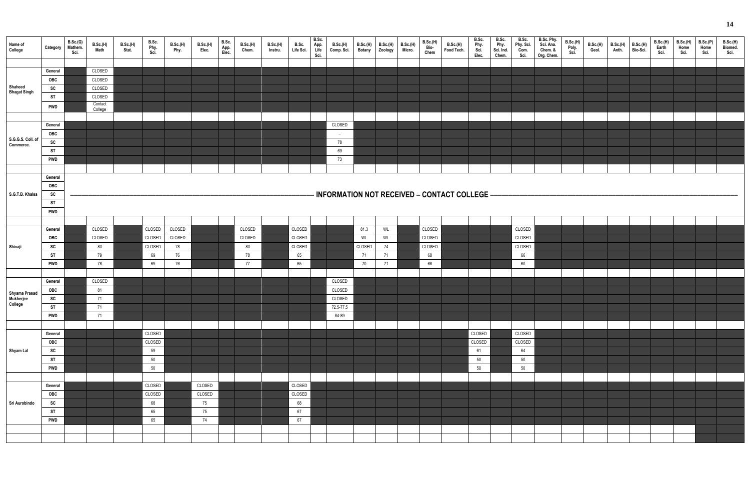| Name of<br>College             | Category                                 | B.Sc.(G)<br>Mathem.<br>Sci. | B.Sc.(H)<br>Math             | <b>B.Sc.(H)</b><br>Stat. | B.Sc.<br>Phy.<br>Sci. | <b>B.Sc.(H)</b><br>Phy. | <b>B.Sc.(H)</b><br>Elec. | B.Sc.<br>App.<br>Elec. | B.Sc.(H)<br>Chem. | B.Sc.(H)<br>Instru. | B.Sc. App.<br>Life Sci. Life<br>Sci. | B.Sc. | <b>B.Sc.(H)</b><br>Comp. Sci.                  |        | B.Sc.(H) B.Sc.(H) B.Sc.(H)<br>Botany Zoology Micro. | <b>B.Sc.(H)</b><br>Bio-<br>Chem | <b>B.Sc.(H)</b><br>Food Tech. | B.Sc.<br>Phy.<br>Sci.<br>Elec. | B.Sc.<br>Phy.<br>Sci. Ind.<br>Chem. | B.Sc.<br>Phy. Sci.<br>Com.<br>Sci. | B.Sc. Phy.<br>Sci. Ana.<br>Chem. &<br>Org. Chem. | <b>B.Sc.(H)</b><br>Poly.<br>Sci. | B.Sc.(H)<br>Geol. | B.Sc.(H)<br>Anth. | B.Sc.(H)<br>Bio-Sci. | B.Sc.(H)<br>Earth<br>Sci. | <b>B.Sc.(H)</b><br>Home<br>Sci. | B.Sc.(P)<br>Home<br>Sci. | B.Sc.(H)<br>Biomed.<br>Sci. |
|--------------------------------|------------------------------------------|-----------------------------|------------------------------|--------------------------|-----------------------|-------------------------|--------------------------|------------------------|-------------------|---------------------|--------------------------------------|-------|------------------------------------------------|--------|-----------------------------------------------------|---------------------------------|-------------------------------|--------------------------------|-------------------------------------|------------------------------------|--------------------------------------------------|----------------------------------|-------------------|-------------------|----------------------|---------------------------|---------------------------------|--------------------------|-----------------------------|
| Shaheed                        | General<br>OBC<br>SC                     |                             | CLOSED<br>CLOSED<br>CLOSED   |                          |                       |                         |                          |                        |                   |                     |                                      |       |                                                |        |                                                     |                                 |                               |                                |                                     |                                    |                                                  |                                  |                   |                   |                      |                           |                                 |                          |                             |
| <b>Bhagat Singh</b>            | <b>ST</b><br><b>PWD</b>                  |                             | CLOSED<br>Contact<br>College |                          |                       |                         |                          |                        |                   |                     |                                      |       |                                                |        |                                                     |                                 |                               |                                |                                     |                                    |                                                  |                                  |                   |                   |                      |                           |                                 |                          |                             |
| S.G.G.S. Coll. of<br>Commerce. | General<br><b>OBC</b><br>SC<br><b>ST</b> |                             |                              |                          |                       |                         |                          |                        |                   |                     |                                      |       | CLOSED<br>$\overline{\phantom{a}}$<br>78<br>69 |        |                                                     |                                 |                               |                                |                                     |                                    |                                                  |                                  |                   |                   |                      |                           |                                 |                          |                             |
|                                | <b>PWD</b><br>General                    |                             |                              |                          |                       |                         |                          |                        |                   |                     |                                      |       | 73                                             |        |                                                     |                                 |                               |                                |                                     |                                    |                                                  |                                  |                   |                   |                      |                           |                                 |                          |                             |
| S.G.T.B. Khalsa                | OBC<br>SC<br><b>ST</b><br><b>PWD</b>     |                             |                              |                          |                       |                         |                          |                        |                   |                     |                                      |       | - INFORMATION NOT RECEIVED - CONTACT COLLEGE - |        |                                                     |                                 |                               |                                |                                     |                                    |                                                  |                                  |                   |                   |                      |                           |                                 |                          |                             |
|                                |                                          |                             |                              |                          |                       |                         |                          |                        |                   |                     |                                      |       |                                                |        |                                                     |                                 |                               |                                |                                     |                                    |                                                  |                                  |                   |                   |                      |                           |                                 |                          |                             |
|                                | General                                  |                             | CLOSED                       |                          | CLOSED                | CLOSED                  |                          |                        | CLOSED            |                     | CLOSED                               |       |                                                | 81.3   | WL                                                  | CLOSED                          |                               |                                |                                     | CLOSED                             |                                                  |                                  |                   |                   |                      |                           |                                 |                          |                             |
|                                |                                          |                             |                              |                          |                       |                         |                          |                        |                   |                     |                                      |       |                                                |        |                                                     |                                 |                               |                                |                                     |                                    |                                                  |                                  |                   |                   |                      |                           |                                 |                          |                             |
|                                | OBC                                      |                             | CLOSED                       |                          | CLOSED                | CLOSED                  |                          |                        | CLOSED            |                     | CLOSED                               |       |                                                | WL     | <b>WL</b>                                           | CLOSED                          |                               |                                |                                     | CLOSED                             |                                                  |                                  |                   |                   |                      |                           |                                 |                          |                             |
| Shivaji                        | SC                                       |                             | 80                           |                          | CLOSED                | 78                      |                          |                        | 80                |                     | CLOSED                               |       |                                                | CLOSED | 74                                                  | CLOSED                          |                               |                                |                                     | CLOSED                             |                                                  |                                  |                   |                   |                      |                           |                                 |                          |                             |
|                                | <b>ST</b>                                |                             | 79                           |                          | 69                    | 76                      |                          |                        | 78                |                     | 65                                   |       |                                                | 71     | 71                                                  | 68                              |                               |                                |                                     | 66                                 |                                                  |                                  |                   |                   |                      |                           |                                 |                          |                             |
|                                | <b>PWD</b>                               |                             | 78                           |                          | 69                    | 76                      |                          |                        | 77                |                     | 65                                   |       |                                                | 70     | 71                                                  | 68                              |                               |                                |                                     | 60                                 |                                                  |                                  |                   |                   |                      |                           |                                 |                          |                             |
|                                |                                          |                             |                              |                          |                       |                         |                          |                        |                   |                     |                                      |       |                                                |        |                                                     |                                 |                               |                                |                                     |                                    |                                                  |                                  |                   |                   |                      |                           |                                 |                          |                             |
|                                | General                                  |                             | CLOSED                       |                          |                       |                         |                          |                        |                   |                     |                                      |       | CLOSED                                         |        |                                                     |                                 |                               |                                |                                     |                                    |                                                  |                                  |                   |                   |                      |                           |                                 |                          |                             |
|                                | OBC                                      |                             | 81                           |                          |                       |                         |                          |                        |                   |                     |                                      |       | CLOSED                                         |        |                                                     |                                 |                               |                                |                                     |                                    |                                                  |                                  |                   |                   |                      |                           |                                 |                          |                             |
| Shyama Prasad<br>Mukherjee     | SC                                       |                             | 71                           |                          |                       |                         |                          |                        |                   |                     |                                      |       | CLOSED                                         |        |                                                     |                                 |                               |                                |                                     |                                    |                                                  |                                  |                   |                   |                      |                           |                                 |                          |                             |
| College                        | <b>ST</b>                                |                             | 71                           |                          |                       |                         |                          |                        |                   |                     |                                      |       | 72.5-77.5                                      |        |                                                     |                                 |                               |                                |                                     |                                    |                                                  |                                  |                   |                   |                      |                           |                                 |                          |                             |
|                                | <b>PWD</b>                               |                             | 71                           |                          |                       |                         |                          |                        |                   |                     |                                      |       | 84-89                                          |        |                                                     |                                 |                               |                                |                                     |                                    |                                                  |                                  |                   |                   |                      |                           |                                 |                          |                             |
|                                |                                          |                             |                              |                          |                       |                         |                          |                        |                   |                     |                                      |       |                                                |        |                                                     |                                 |                               |                                |                                     |                                    |                                                  |                                  |                   |                   |                      |                           |                                 |                          |                             |
|                                | General                                  |                             |                              |                          | CLOSED                |                         |                          |                        |                   |                     |                                      |       |                                                |        |                                                     |                                 |                               | CLOSED                         |                                     | CLOSED                             |                                                  |                                  |                   |                   |                      |                           |                                 |                          |                             |
|                                | OBC                                      |                             |                              |                          | CLOSED                |                         |                          |                        |                   |                     |                                      |       |                                                |        |                                                     |                                 |                               | CLOSED                         |                                     | CLOSED                             |                                                  |                                  |                   |                   |                      |                           |                                 |                          |                             |
| Shyam Lal                      | SC                                       |                             |                              |                          | 59                    |                         |                          |                        |                   |                     |                                      |       |                                                |        |                                                     |                                 |                               | 61                             |                                     | 64                                 |                                                  |                                  |                   |                   |                      |                           |                                 |                          |                             |
|                                | <b>ST</b>                                |                             |                              |                          | 50                    |                         |                          |                        |                   |                     |                                      |       |                                                |        |                                                     |                                 |                               | 50                             |                                     | 50                                 |                                                  |                                  |                   |                   |                      |                           |                                 |                          |                             |
|                                | <b>PWD</b>                               |                             |                              |                          | 50                    |                         |                          |                        |                   |                     |                                      |       |                                                |        |                                                     |                                 |                               | 50                             |                                     | 50                                 |                                                  |                                  |                   |                   |                      |                           |                                 |                          |                             |
|                                |                                          |                             |                              |                          |                       |                         |                          |                        |                   |                     |                                      |       |                                                |        |                                                     |                                 |                               |                                |                                     |                                    |                                                  |                                  |                   |                   |                      |                           |                                 |                          |                             |
|                                |                                          |                             |                              |                          |                       |                         |                          |                        |                   |                     |                                      |       |                                                |        |                                                     |                                 |                               |                                |                                     |                                    |                                                  |                                  |                   |                   |                      |                           |                                 |                          |                             |
|                                | General                                  |                             |                              |                          | CLOSED                |                         | CLOSED                   |                        |                   |                     | CLOSED                               |       |                                                |        |                                                     |                                 |                               |                                |                                     |                                    |                                                  |                                  |                   |                   |                      |                           |                                 |                          |                             |
|                                | OBC                                      |                             |                              |                          | CLOSED                |                         | CLOSED                   |                        |                   |                     | CLOSED                               |       |                                                |        |                                                     |                                 |                               |                                |                                     |                                    |                                                  |                                  |                   |                   |                      |                           |                                 |                          |                             |
| Sri Aurobindo                  | SC                                       |                             |                              |                          | 68                    |                         | 75                       |                        |                   |                     | 68                                   |       |                                                |        |                                                     |                                 |                               |                                |                                     |                                    |                                                  |                                  |                   |                   |                      |                           |                                 |                          |                             |
|                                | ST                                       |                             |                              |                          | 65                    |                         | 75                       |                        |                   |                     | 67                                   |       |                                                |        |                                                     |                                 |                               |                                |                                     |                                    |                                                  |                                  |                   |                   |                      |                           |                                 |                          |                             |
|                                | <b>PWD</b>                               |                             |                              |                          | 65                    |                         | 74                       |                        |                   |                     | 67                                   |       |                                                |        |                                                     |                                 |                               |                                |                                     |                                    |                                                  |                                  |                   |                   |                      |                           |                                 |                          |                             |
|                                |                                          |                             |                              |                          |                       |                         |                          |                        |                   |                     |                                      |       |                                                |        |                                                     |                                 |                               |                                |                                     |                                    |                                                  |                                  |                   |                   |                      |                           |                                 |                          |                             |
|                                |                                          |                             |                              |                          |                       |                         |                          |                        |                   |                     |                                      |       |                                                |        |                                                     |                                 |                               |                                |                                     |                                    |                                                  |                                  |                   |                   |                      |                           |                                 |                          |                             |